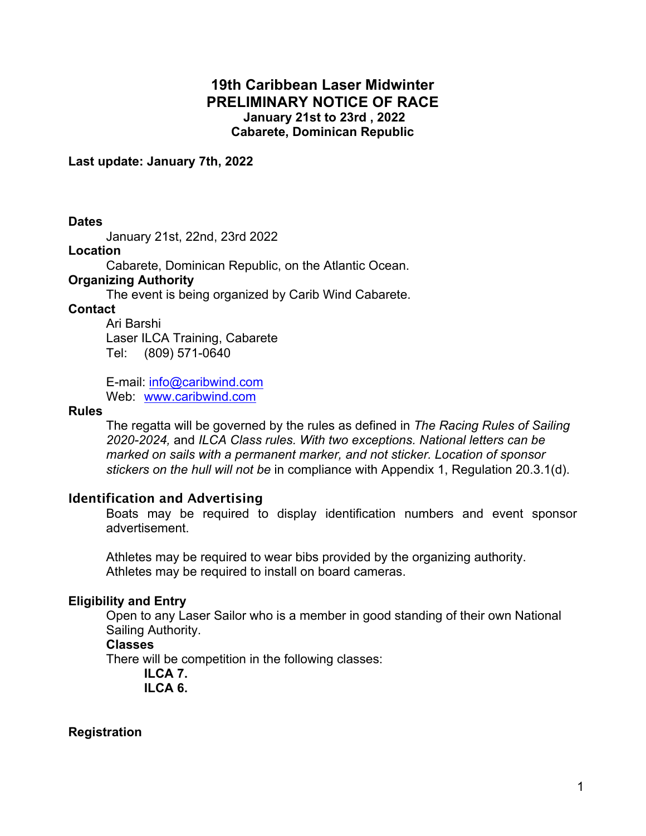# **19th Caribbean Laser Midwinter PRELIMINARY NOTICE OF RACE January 21st to 23rd , 2022 Cabarete, Dominican Republic**

**Last update: January 7th, 2022**

**Dates** 

January 21st, 22nd, 23rd 2022

**Location**

Cabarete, Dominican Republic, on the Atlantic Ocean.

### **Organizing Authority**

The event is being organized by Carib Wind Cabarete.

**Contact**

Ari Barshi Laser ILCA Training, Cabarete Tel: (809) 571-0640

E-mail: info@caribwind.com Web: www.caribwind.com

#### **Rules**

The regatta will be governed by the rules as defined in *The Racing Rules of Sailing 2020-2024,* and *ILCA Class rules. With two exceptions. National letters can be marked on sails with a permanent marker, and not sticker. Location of sponsor stickers on the hull will not be* in compliance with Appendix 1, Regulation 20.3.1(d).

### **Identification and Advertising**

Boats may be required to display identification numbers and event sponsor advertisement.

Athletes may be required to wear bibs provided by the organizing authority. Athletes may be required to install on board cameras.

### **Eligibility and Entry**

Open to any Laser Sailor who is a member in good standing of their own National Sailing Authority.

### **Classes**

There will be competition in the following classes:

**ILCA 7.** 

**ILCA 6.**

**Registration**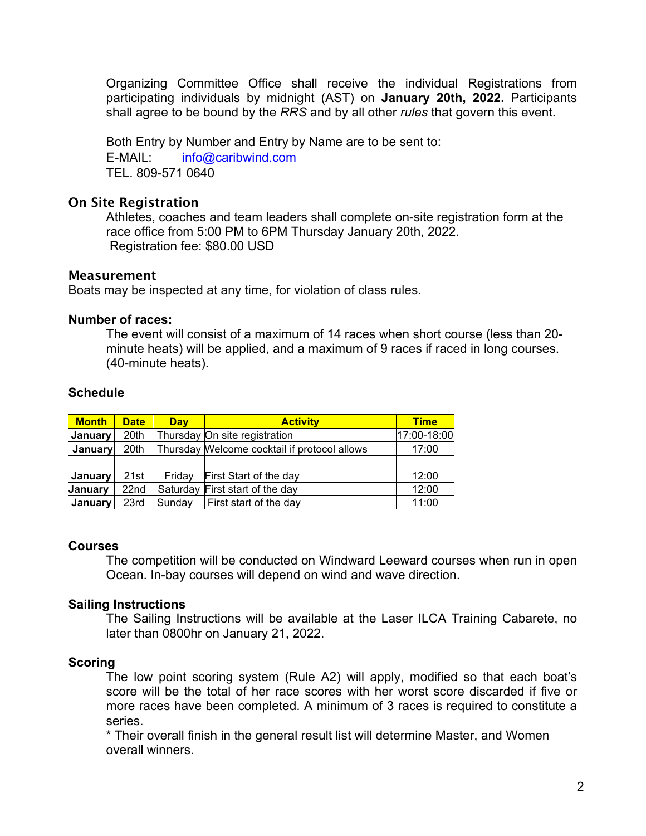Organizing Committee Office shall receive the individual Registrations from participating individuals by midnight (AST) on **January 20th, 2022.** Participants shall agree to be bound by the *RRS* and by all other *rules* that govern this event.

Both Entry by Number and Entry by Name are to be sent to:  $E-MAIL:$   $int_0^\infty$   $\frac{1}{2}$  info  $\frac{1}{2}$  caribwind.com TEL. 809-571 0640

## **On Site Registration**

Athletes, coaches and team leaders shall complete on-site registration form at the race office from 5:00 PM to 6PM Thursday January 20th, 2022. Registration fee: \$80.00 USD

### **Measurement**

Boats may be inspected at any time, for violation of class rules.

### **Number of races:**

The event will consist of a maximum of 14 races when short course (less than 20 minute heats) will be applied, and a maximum of 9 races if raced in long courses. (40-minute heats).

### **Schedule**

| <b>Month</b>   | <b>Date</b> | <b>Day</b> | <b>Activity</b>                              | <b>Time</b> |
|----------------|-------------|------------|----------------------------------------------|-------------|
| January        | 20th        |            | Thursday On site registration                | 17:00-18:00 |
| January        | 20th        |            | Thursday Melcome cocktail if protocol allows | 17:00       |
|                |             |            |                                              |             |
| January        | 21st        | Friday     | First Start of the day                       | 12:00       |
| <b>January</b> | 22nd        |            | Saturday First start of the day              | 12:00       |
| <b>January</b> | 23rd        | Sunday     | First start of the day                       | 11:00       |

### **Courses**

The competition will be conducted on Windward Leeward courses when run in open Ocean. In-bay courses will depend on wind and wave direction.

### **Sailing Instructions**

The Sailing Instructions will be available at the Laser ILCA Training Cabarete, no later than 0800hr on January 21, 2022.

### **Scoring**

The low point scoring system (Rule A2) will apply, modified so that each boat's score will be the total of her race scores with her worst score discarded if five or more races have been completed. A minimum of 3 races is required to constitute a series.

\* Their overall finish in the general result list will determine Master, and Women overall winners.